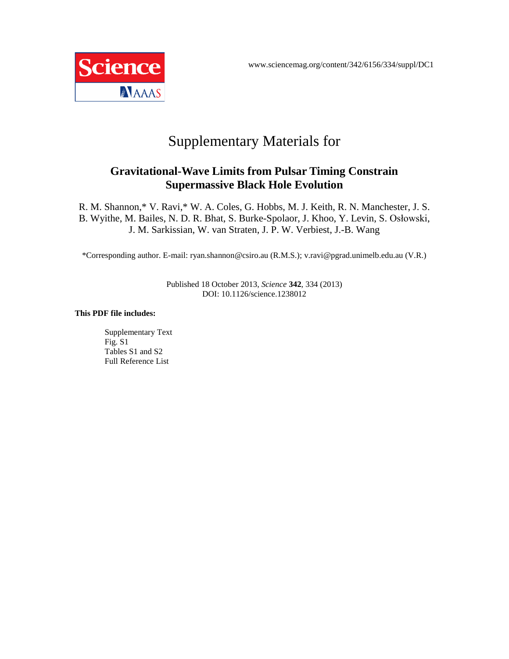

# Supplementary Materials for

## **Gravitational-Wave Limits from Pulsar Timing Constrain Supermassive Black Hole Evolution**

R. M. Shannon,\* V. Ravi,\* W. A. Coles, G. Hobbs, M. J. Keith, R. N. Manchester, J. S. B. Wyithe, M. Bailes, N. D. R. Bhat, S. Burke-Spolaor, J. Khoo, Y. Levin, S. Osłowski, J. M. Sarkissian, W. van Straten, J. P. W. Verbiest, J.-B. Wang

\*Corresponding author. E-mail: ryan.shannon@csiro.au (R.M.S.); v.ravi@pgrad.unimelb.edu.au (V.R.)

Published 18 October 2013, *Science* **342**, 334 (2013) DOI: 10.1126/science.1238012

#### **This PDF file includes:**

Supplementary Text Fig. S1 Tables S1 and S2 Full Reference List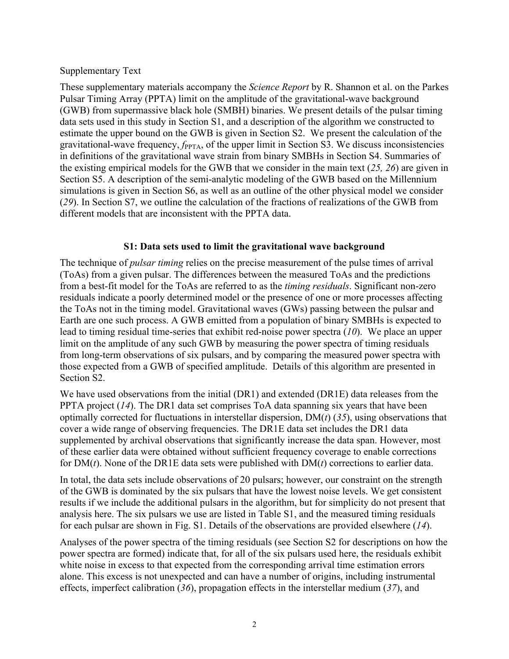Supplementary Text

These supplementary materials accompany the *Science Report* by R. Shannon et al. on the Parkes Pulsar Timing Array (PPTA) limit on the amplitude of the gravitational-wave background (GWB) from supermassive black hole (SMBH) binaries. We present details of the pulsar timing data sets used in this study in Section S1, and a description of the algorithm we constructed to estimate the upper bound on the GWB is given in Section S2. We present the calculation of the gravitational-wave frequency, *f*<sub>PPTA</sub>, of the upper limit in Section S3. We discuss inconsistencies in definitions of the gravitational wave strain from binary SMBHs in Section S4. Summaries of the existing empirical models for the GWB that we consider in the main text (*25, 26*) are given in Section S5. A description of the semi-analytic modeling of the GWB based on the Millennium simulations is given in Section S6, as well as an outline of the other physical model we consider (*29*). In Section S7, we outline the calculation of the fractions of realizations of the GWB from different models that are inconsistent with the PPTA data.

## **S1: Data sets used to limit the gravitational wave background**

The technique of *pulsar timing* relies on the precise measurement of the pulse times of arrival (ToAs) from a given pulsar. The differences between the measured ToAs and the predictions from a best-fit model for the ToAs are referred to as the *timing residuals*. Significant non-zero residuals indicate a poorly determined model or the presence of one or more processes affecting the ToAs not in the timing model. Gravitational waves (GWs) passing between the pulsar and Earth are one such process. A GWB emitted from a population of binary SMBHs is expected to lead to timing residual time-series that exhibit red-noise power spectra (*10*). We place an upper limit on the amplitude of any such GWB by measuring the power spectra of timing residuals from long-term observations of six pulsars, and by comparing the measured power spectra with those expected from a GWB of specified amplitude. Details of this algorithm are presented in Section S2.

We have used observations from the initial (DR1) and extended (DR1E) data releases from the PPTA project (*14*). The DR1 data set comprises ToA data spanning six years that have been optimally corrected for fluctuations in interstellar dispersion, DM(*t*) (*35*), using observations that cover a wide range of observing frequencies. The DR1E data set includes the DR1 data supplemented by archival observations that significantly increase the data span. However, most of these earlier data were obtained without sufficient frequency coverage to enable corrections for DM(*t*). None of the DR1E data sets were published with DM(*t*) corrections to earlier data.

In total, the data sets include observations of 20 pulsars; however, our constraint on the strength of the GWB is dominated by the six pulsars that have the lowest noise levels. We get consistent results if we include the additional pulsars in the algorithm, but for simplicity do not present that analysis here. The six pulsars we use are listed in Table S1, and the measured timing residuals for each pulsar are shown in Fig. S1. Details of the observations are provided elsewhere (*14*).

Analyses of the power spectra of the timing residuals (see Section S2 for descriptions on how the power spectra are formed) indicate that, for all of the six pulsars used here, the residuals exhibit white noise in excess to that expected from the corresponding arrival time estimation errors alone. This excess is not unexpected and can have a number of origins, including instrumental effects, imperfect calibration (*36*), propagation effects in the interstellar medium (*37*), and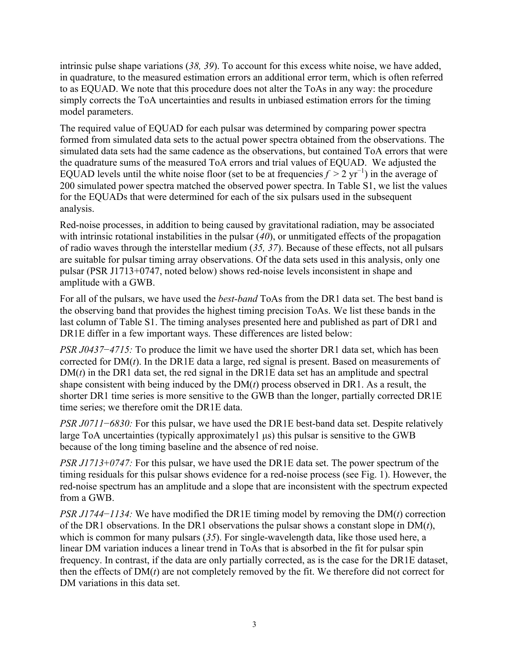intrinsic pulse shape variations (*38, 39*). To account for this excess white noise, we have added, in quadrature, to the measured estimation errors an additional error term, which is often referred to as EQUAD. We note that this procedure does not alter the ToAs in any way: the procedure simply corrects the ToA uncertainties and results in unbiased estimation errors for the timing model parameters.

The required value of EQUAD for each pulsar was determined by comparing power spectra formed from simulated data sets to the actual power spectra obtained from the observations. The simulated data sets had the same cadence as the observations, but contained ToA errors that were the quadrature sums of the measured ToA errors and trial values of EQUAD. We adjusted the EQUAD levels until the white noise floor (set to be at frequencies  $f > 2$  yr<sup>-1</sup>) in the average of 200 simulated power spectra matched the observed power spectra. In Table S1, we list the values for the EQUADs that were determined for each of the six pulsars used in the subsequent analysis.

Red-noise processes, in addition to being caused by gravitational radiation, may be associated with intrinsic rotational instabilities in the pulsar (40), or unmitigated effects of the propagation of radio waves through the interstellar medium (*35, 37*). Because of these effects, not all pulsars are suitable for pulsar timing array observations. Of the data sets used in this analysis, only one pulsar (PSR J1713+0747, noted below) shows red-noise levels inconsistent in shape and amplitude with a GWB.

For all of the pulsars, we have used the *best-band* ToAs from the DR1 data set. The best band is the observing band that provides the highest timing precision ToAs. We list these bands in the last column of Table S1. The timing analyses presented here and published as part of DR1 and DR1E differ in a few important ways. These differences are listed below:

*PSR J0437−4715:* To produce the limit we have used the shorter DR1 data set, which has been corrected for DM(*t*). In the DR1E data a large, red signal is present. Based on measurements of  $DM(t)$  in the DR1 data set, the red signal in the DR1E data set has an amplitude and spectral shape consistent with being induced by the DM(*t*) process observed in DR1. As a result, the shorter DR1 time series is more sensitive to the GWB than the longer, partially corrected DR1E time series; we therefore omit the DR1E data.

*PSR J0711−6830:* For this pulsar, we have used the DR1E best-band data set. Despite relatively large ToA uncertainties (typically approximately1 µs) this pulsar is sensitive to the GWB because of the long timing baseline and the absence of red noise.

*PSR J1713*+*0747:* For this pulsar, we have used the DR1E data set. The power spectrum of the timing residuals for this pulsar shows evidence for a red-noise process (see Fig. 1). However, the red-noise spectrum has an amplitude and a slope that are inconsistent with the spectrum expected from a GWB.

*PSR J1744−1134:* We have modified the DR1E timing model by removing the DM(*t*) correction of the DR1 observations. In the DR1 observations the pulsar shows a constant slope in DM(*t*), which is common for many pulsars (*35*). For single-wavelength data, like those used here, a linear DM variation induces a linear trend in ToAs that is absorbed in the fit for pulsar spin frequency. In contrast, if the data are only partially corrected, as is the case for the DR1E dataset, then the effects of DM(*t*) are not completely removed by the fit. We therefore did not correct for DM variations in this data set.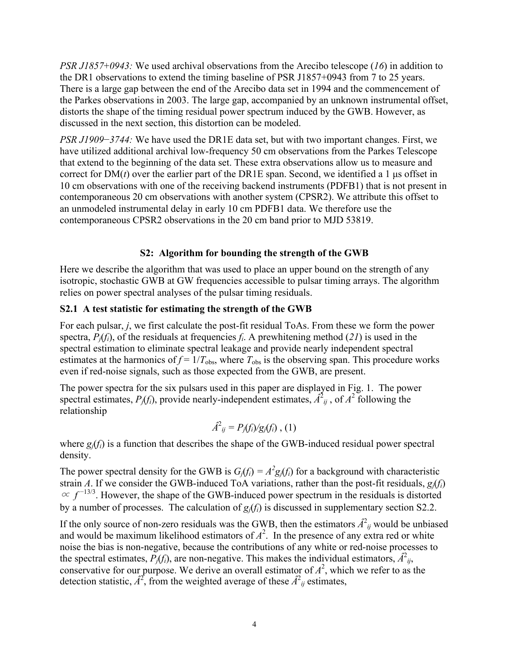*PSR J1857*+*0943:* We used archival observations from the Arecibo telescope (*16*) in addition to the DR1 observations to extend the timing baseline of PSR J1857+0943 from 7 to 25 years. There is a large gap between the end of the Arecibo data set in 1994 and the commencement of the Parkes observations in 2003. The large gap, accompanied by an unknown instrumental offset, distorts the shape of the timing residual power spectrum induced by the GWB. However, as discussed in the next section, this distortion can be modeled.

*PSR J1909–3744:* We have used the DR1E data set, but with two important changes. First, we have utilized additional archival low-frequency 50 cm observations from the Parkes Telescope that extend to the beginning of the data set. These extra observations allow us to measure and correct for  $DM(t)$  over the earlier part of the DR1E span. Second, we identified a 1  $\mu$ s offset in 10 cm observations with one of the receiving backend instruments (PDFB1) that is not present in contemporaneous 20 cm observations with another system (CPSR2). We attribute this offset to an unmodeled instrumental delay in early 10 cm PDFB1 data. We therefore use the contemporaneous CPSR2 observations in the 20 cm band prior to MJD 53819.

## **S2: Algorithm for bounding the strength of the GWB**

Here we describe the algorithm that was used to place an upper bound on the strength of any isotropic, stochastic GWB at GW frequencies accessible to pulsar timing arrays. The algorithm relies on power spectral analyses of the pulsar timing residuals.

## **S2.1 A test statistic for estimating the strength of the GWB**

For each pulsar, *j*, we first calculate the post-fit residual ToAs. From these we form the power spectra,  $P_i(f_i)$ , of the residuals at frequencies  $f_i$ . A prewhitening method (21) is used in the spectral estimation to eliminate spectral leakage and provide nearly independent spectral estimates at the harmonics of  $f = 1/T_{obs}$ , where  $T_{obs}$  is the observing span. This procedure works even if red-noise signals, such as those expected from the GWB, are present.

The power spectra for the six pulsars used in this paper are displayed in Fig. 1. The power spectral estimates,  $P_j(f_i)$ , provide nearly-independent estimates,  $\hat{A}^2_{ij}$ , of  $A^2$  following the relationship

$$
\hat{A}^2_{ij} = P_j(f_i)/g_j(f_i) , (1)
$$

where  $g_i(f_i)$  is a function that describes the shape of the GWB-induced residual power spectral density.

The power spectral density for the GWB is  $G_j(f_i) = A^2 g_j(f_i)$  for a background with characteristic strain *A*. If we consider the GWB-induced ToA variations, rather than the post-fit residuals,  $g_i(f_i)$  $\propto f^{-13/3}$ . However, the shape of the GWB-induced power spectrum in the residuals is distorted by a number of processes. The calculation of *gj*(*fi*) is discussed in supplementary section S2.2.

If the only source of non-zero residuals was the GWB, then the estimators  $\hat{A}^2_{ij}$  would be unbiased and would be maximum likelihood estimators of  $A^2$ . In the presence of any extra red or white noise the bias is non-negative, because the contributions of any white or red-noise processes to the spectral estimates,  $\vec{P_j}(f_i)$ , are non-negative. This makes the individual estimators,  $\hat{A}^2_{ij}$ , conservative for our purpose. We derive an overall estimator of  $A^2$ , which we refer to as the detection statistic,  $\hat{A}^2$ , from the weighted average of these  $\hat{A}^2_{ij}$  estimates,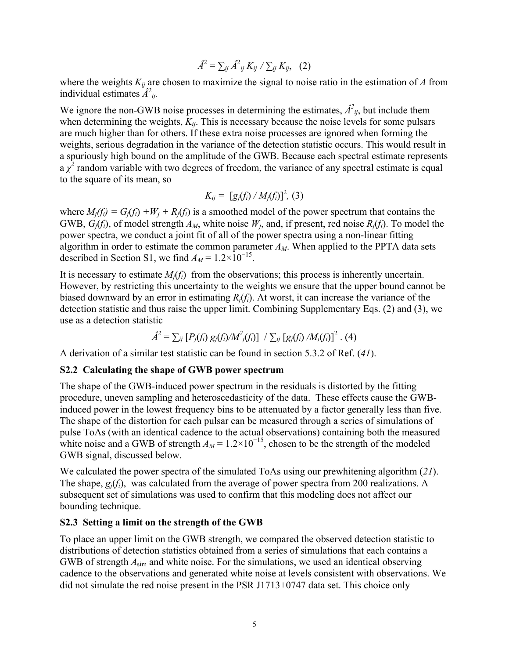$$
\hat{A}^2 = \sum_{ij} \hat{A}^2_{ij} K_{ij} / \sum_{ij} K_{ij}, \quad (2)
$$

where the weights  $K_{ij}$  are chosen to maximize the signal to noise ratio in the estimation of *A* from individual estimates  $\hat{A}^2_{ij}$ .

We ignore the non-GWB noise processes in determining the estimates,  $\hat{A}^2_{ij}$ , but include them when determining the weights,  $K_{ii}$ . This is necessary because the noise levels for some pulsars are much higher than for others. If these extra noise processes are ignored when forming the weights, serious degradation in the variance of the detection statistic occurs. This would result in a spuriously high bound on the amplitude of the GWB. Because each spectral estimate represents  $a \chi^2$  random variable with two degrees of freedom, the variance of any spectral estimate is equal to the square of its mean, so

$$
K_{ij} = [g_j(f_i) / M_j(f_i)]^2, (3)
$$

where  $M_i(f_i) = G_i(f_i) + W_i + R_i(f_i)$  is a smoothed model of the power spectrum that contains the GWB,  $G_i(f_i)$ , of model strength  $A_M$ , white noise  $W_i$ , and, if present, red noise  $R_i(f_i)$ . To model the power spectra, we conduct a joint fit of all of the power spectra using a non-linear fitting algorithm in order to estimate the common parameter *AM*. When applied to the PPTA data sets described in Section S1, we find  $A_M = 1.2 \times 10^{-15}$ .

It is necessary to estimate  $M_i(f_i)$  from the observations; this process is inherently uncertain. However, by restricting this uncertainty to the weights we ensure that the upper bound cannot be biased downward by an error in estimating *Rj*(*fi*). At worst, it can increase the variance of the detection statistic and thus raise the upper limit. Combining Supplementary Eqs. (2) and (3), we use as a detection statistic

$$
\hat{A}^{2} = \sum_{ij} [P_{j}(f_{i}) g_{j}(f_{i})/M^{2} f_{j}(f_{i})] / \sum_{ij} [g_{j}(f_{i}) /M_{j}(f_{i})]^{2} . (4)
$$

A derivation of a similar test statistic can be found in section 5.3.2 of Ref. (*41*).

#### **S2.2 Calculating the shape of GWB power spectrum**

The shape of the GWB-induced power spectrum in the residuals is distorted by the fitting procedure, uneven sampling and heteroscedasticity of the data. These effects cause the GWBinduced power in the lowest frequency bins to be attenuated by a factor generally less than five. The shape of the distortion for each pulsar can be measured through a series of simulations of pulse ToAs (with an identical cadence to the actual observations) containing both the measured white noise and a GWB of strength  $A_M = 1.2 \times 10^{-15}$ , chosen to be the strength of the modeled GWB signal, discussed below.

We calculated the power spectra of the simulated ToAs using our prewhitening algorithm (*21*). The shape, *gj*(*fi*), was calculated from the average of power spectra from 200 realizations. A subsequent set of simulations was used to confirm that this modeling does not affect our bounding technique.

### **S2.3 Setting a limit on the strength of the GWB**

To place an upper limit on the GWB strength, we compared the observed detection statistic to distributions of detection statistics obtained from a series of simulations that each contains a GWB of strength *A*sim and white noise. For the simulations, we used an identical observing cadence to the observations and generated white noise at levels consistent with observations. We did not simulate the red noise present in the PSR J1713+0747 data set. This choice only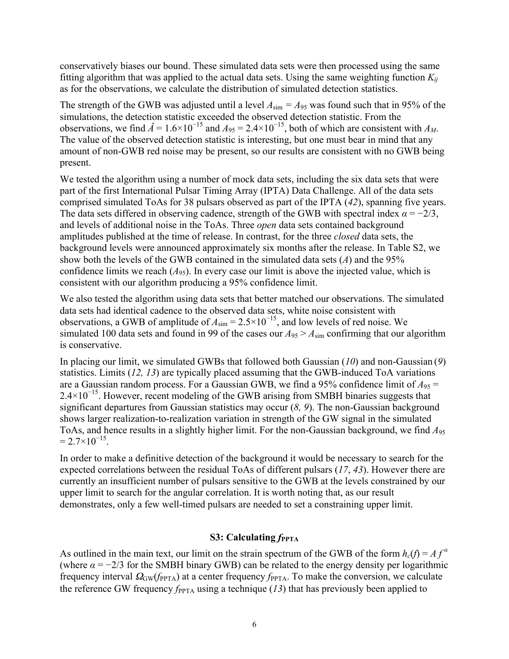conservatively biases our bound. These simulated data sets were then processed using the same fitting algorithm that was applied to the actual data sets. Using the same weighting function  $K_{ii}$ as for the observations, we calculate the distribution of simulated detection statistics.

The strength of the GWB was adjusted until a level  $A_{sim} = A_{95}$  was found such that in 95% of the simulations, the detection statistic exceeded the observed detection statistic. From the observations, we find  $\hat{A} = 1.6 \times 10^{-15}$  and  $A_{95} = 2.4 \times 10^{-15}$ , both of which are consistent with  $A_M$ . The value of the observed detection statistic is interesting, but one must bear in mind that any amount of non-GWB red noise may be present, so our results are consistent with no GWB being present.

We tested the algorithm using a number of mock data sets, including the six data sets that were part of the first International Pulsar Timing Array (IPTA) Data Challenge. All of the data sets comprised simulated ToAs for 38 pulsars observed as part of the IPTA (*42*), spanning five years. The data sets differed in observing cadence, strength of the GWB with spectral index  $\alpha = -2/3$ , and levels of additional noise in the ToAs. Three *open* data sets contained background amplitudes published at the time of release. In contrast, for the three *closed* data sets, the background levels were announced approximately six months after the release. In Table S2, we show both the levels of the GWB contained in the simulated data sets (*A*) and the 95% confidence limits we reach  $(A_{95})$ . In every case our limit is above the injected value, which is consistent with our algorithm producing a 95% confidence limit.

We also tested the algorithm using data sets that better matched our observations. The simulated data sets had identical cadence to the observed data sets, white noise consistent with observations, a GWB of amplitude of  $A_{\text{sim}} = 2.5 \times 10^{-15}$ , and low levels of red noise. We simulated 100 data sets and found in 99 of the cases our  $A_{95} > A_{\text{sim}}$  confirming that our algorithm is conservative.

In placing our limit, we simulated GWBs that followed both Gaussian (*10*) and non-Gaussian (*9*) statistics. Limits (*12, 13*) are typically placed assuming that the GWB-induced ToA variations are a Gaussian random process. For a Gaussian GWB, we find a 95% confidence limit of  $A_{95}$  =  $2.4\times10^{-15}$ . However, recent modeling of the GWB arising from SMBH binaries suggests that significant departures from Gaussian statistics may occur (*8, 9*). The non-Gaussian background shows larger realization-to-realization variation in strength of the GW signal in the simulated ToAs, and hence results in a slightly higher limit. For the non-Gaussian background, we find *A*<sup>95</sup>  $= 2.7 \times 10^{-15}$ .

In order to make a definitive detection of the background it would be necessary to search for the expected correlations between the residual ToAs of different pulsars (*17*, *43*). However there are currently an insufficient number of pulsars sensitive to the GWB at the levels constrained by our upper limit to search for the angular correlation. It is worth noting that, as our result demonstrates, only a few well-timed pulsars are needed to set a constraining upper limit.

### **S3: Calculating**  $f_{\text{PPTA}}$

As outlined in the main text, our limit on the strain spectrum of the GWB of the form  $h_c(f) = Af^a$ (where  $\alpha = -2/3$  for the SMBH binary GWB) can be related to the energy density per logarithmic frequency interval  $\Omega_{GW}(f_{PPTA})$  at a center frequency *f*<sub>PPTA</sub>. To make the conversion, we calculate the reference GW frequency  $f_{\text{PPTA}}$  using a technique (13) that has previously been applied to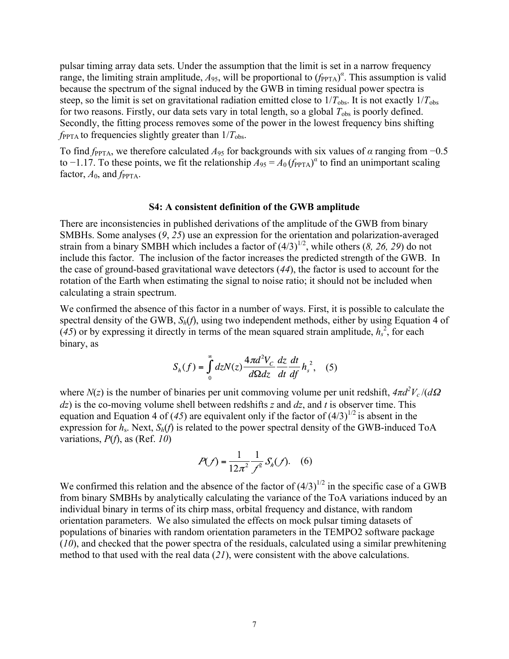pulsar timing array data sets. Under the assumption that the limit is set in a narrow frequency range, the limiting strain amplitude,  $A_{95}$ , will be proportional to  $(f_{PPTA})^{\alpha}$ . This assumption is valid because the spectrum of the signal induced by the GWB in timing residual power spectra is steep, so the limit is set on gravitational radiation emitted close to  $1/T_{obs}$ . It is not exactly  $1/T_{obs}$ for two reasons. Firstly, our data sets vary in total length, so a global  $T_{obs}$  is poorly defined. Secondly, the fitting process removes some of the power in the lowest frequency bins shifting  $f_{\text{PPTA}}$  to frequencies slightly greater than  $1/T_{\text{obs}}$ .

To find  $f_{\text{PPTA}}$ , we therefore calculated  $A_{95}$  for backgrounds with six values of  $\alpha$  ranging from  $-0.5$ to  $-1.17$ . To these points, we fit the relationship  $A_{95} = A_0 (f_{PPTA})^{\alpha}$  to find an unimportant scaling factor,  $A_0$ , and  $f_{\text{PPTA}}$ .

#### **S4: A consistent definition of the GWB amplitude**

There are inconsistencies in published derivations of the amplitude of the GWB from binary SMBHs. Some analyses (*9*, *25*) use an expression for the orientation and polarization-averaged strain from a binary SMBH which includes a factor of  $(4/3)^{1/2}$ , while others (*8, 26, 29*) do not include this factor. The inclusion of the factor increases the predicted strength of the GWB. In the case of ground-based gravitational wave detectors (*44*), the factor is used to account for the rotation of the Earth when estimating the signal to noise ratio; it should not be included when calculating a strain spectrum.

We confirmed the absence of this factor in a number of ways. First, it is possible to calculate the spectral density of the GWB, *Sh*(*f*), using two independent methods, either by using Equation 4 of  $(45)$  or by expressing it directly in terms of the mean squared strain amplitude,  $h_s^2$ , for each binary, as

$$
S_h(f) = \int_0^\infty dz N(z) \frac{4\pi d^2 V_c}{d\Omega dz} \frac{dz}{dt} \frac{dt}{df} h_s^2, \quad (5)
$$

where  $N(z)$  is the number of binaries per unit commoving volume per unit redshift,  $4\pi d^2 V_c/(d\Omega)$ *dz*) is the co-moving volume shell between redshifts *z* and *dz*, and *t* is observer time. This equation and Equation 4 of (45) are equivalent only if the factor of  $(4/3)^{1/2}$  is absent in the expression for  $h_s$ . Next,  $S_h(f)$  is related to the power spectral density of the GWB-induced ToA variations, *P*(*f*), as (Ref. *10*)

$$
P(f) = \frac{1}{12\pi^2} \frac{1}{f^2} S_h(f). \quad (6)
$$

We confirmed this relation and the absence of the factor of  $(4/3)^{1/2}$  in the specific case of a GWB from binary SMBHs by analytically calculating the variance of the ToA variations induced by an individual binary in terms of its chirp mass, orbital frequency and distance, with random orientation parameters. We also simulated the effects on mock pulsar timing datasets of populations of binaries with random orientation parameters in the TEMPO2 software package (*10*), and checked that the power spectra of the residuals, calculated using a similar prewhitening method to that used with the real data (*21*), were consistent with the above calculations.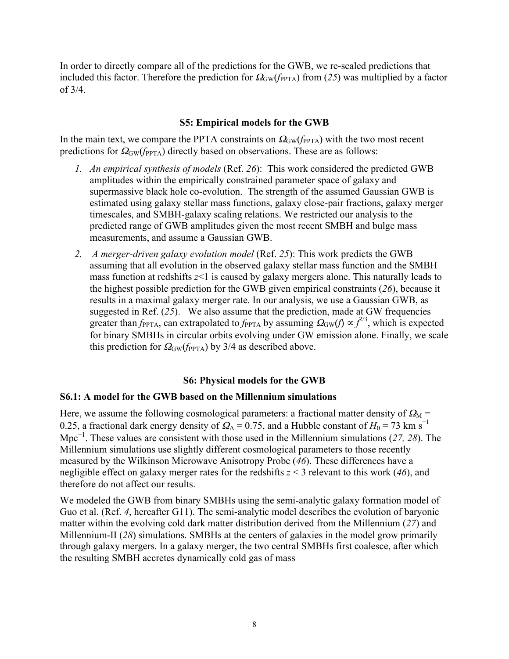In order to directly compare all of the predictions for the GWB, we re-scaled predictions that included this factor. Therefore the prediction for  $\Omega_{GW}(f_{PPTA})$  from (25) was multiplied by a factor of 3/4.

### **S5: Empirical models for the GWB**

In the main text, we compare the PPTA constraints on  $\Omega_{GW}(f_{PPTA})$  with the two most recent predictions for  $\Omega$ <sub>GW</sub>(*f*<sub>PPTA</sub>) directly based on observations. These are as follows:

- *1. An empirical synthesis of models* (Ref. *26*): This work considered the predicted GWB amplitudes within the empirically constrained parameter space of galaxy and supermassive black hole co-evolution. The strength of the assumed Gaussian GWB is estimated using galaxy stellar mass functions, galaxy close-pair fractions, galaxy merger timescales, and SMBH-galaxy scaling relations. We restricted our analysis to the predicted range of GWB amplitudes given the most recent SMBH and bulge mass measurements, and assume a Gaussian GWB.
- *2. A merger-driven galaxy evolution model* (Ref. *25*): This work predicts the GWB assuming that all evolution in the observed galaxy stellar mass function and the SMBH mass function at redshifts *z*<1 is caused by galaxy mergers alone. This naturally leads to the highest possible prediction for the GWB given empirical constraints (*26*), because it results in a maximal galaxy merger rate. In our analysis, we use a Gaussian GWB, as suggested in Ref. (*25*). We also assume that the prediction, made at GW frequencies greater than  $f_{\text{PPTA}}$ , can extrapolated to  $f_{\text{PPTA}}$  by assuming  $\Omega_{\text{GW}}(f) \propto f^{2/3}$ , which is expected for binary SMBHs in circular orbits evolving under GW emission alone. Finally, we scale this prediction for  $\Omega_{\rm GW}(f_{\rm PPTA})$  by 3/4 as described above.

## **S6: Physical models for the GWB**

## **S6.1: A model for the GWB based on the Millennium simulations**

Here, we assume the following cosmological parameters: a fractional matter density of  $\Omega_M$  = 0.25, a fractional dark energy density of  $\Omega_{\Lambda}$  = 0.75, and a Hubble constant of  $H_0$  = 73 km s<sup>-1</sup> Mpc<sup>−</sup><sup>1</sup> . These values are consistent with those used in the Millennium simulations (*27, 28*). The Millennium simulations use slightly different cosmological parameters to those recently measured by the Wilkinson Microwave Anisotropy Probe (*46*). These differences have a negligible effect on galaxy merger rates for the redshifts *z* < 3 relevant to this work (*46*), and therefore do not affect our results.

We modeled the GWB from binary SMBHs using the semi-analytic galaxy formation model of Guo et al. (Ref. *4*, hereafter G11). The semi-analytic model describes the evolution of baryonic matter within the evolving cold dark matter distribution derived from the Millennium (*27*) and Millennium-II (*28*) simulations. SMBHs at the centers of galaxies in the model grow primarily through galaxy mergers. In a galaxy merger, the two central SMBHs first coalesce, after which the resulting SMBH accretes dynamically cold gas of mass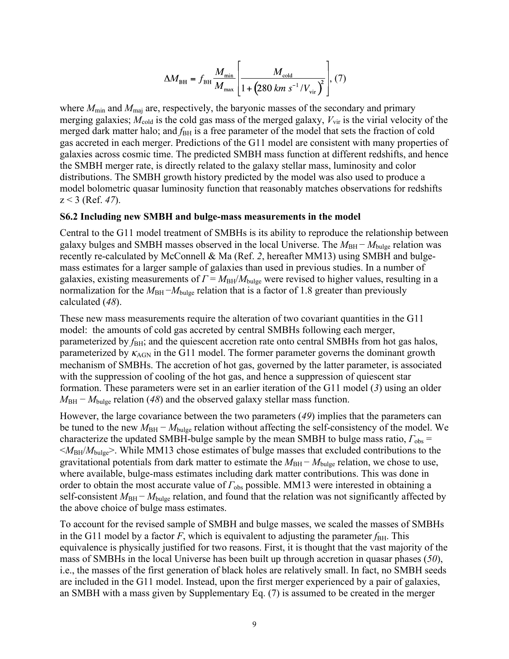$$
\Delta M_{\text{BH}} = f_{\text{BH}} \frac{M_{\text{min}}}{M_{\text{max}}} \left[ \frac{M_{\text{cold}}}{1 + (280 \text{ km s}^{-1} / V_{\text{vir}})} \right], (7)
$$

where  $M_{\text{min}}$  and  $M_{\text{maj}}$  are, respectively, the baryonic masses of the secondary and primary merging galaxies;  $M_{\text{cold}}$  is the cold gas mass of the merged galaxy,  $V_{\text{vir}}$  is the virial velocity of the merged dark matter halo; and  $f_{\text{BH}}$  is a free parameter of the model that sets the fraction of cold gas accreted in each merger. Predictions of the G11 model are consistent with many properties of galaxies across cosmic time. The predicted SMBH mass function at different redshifts, and hence the SMBH merger rate, is directly related to the galaxy stellar mass, luminosity and color distributions. The SMBH growth history predicted by the model was also used to produce a model bolometric quasar luminosity function that reasonably matches observations for redshifts z < 3 (Ref. *47*).

#### **S6.2 Including new SMBH and bulge-mass measurements in the model**

Central to the G11 model treatment of SMBHs is its ability to reproduce the relationship between galaxy bulges and SMBH masses observed in the local Universe. The  $M_{BH}$  −  $M_{bulge}$  relation was recently re-calculated by McConnell & Ma (Ref. *2*, hereafter MM13) using SMBH and bulgemass estimates for a larger sample of galaxies than used in previous studies. In a number of galaxies, existing measurements of  $\Gamma = M_{BH}/M_{bulge}$  were revised to higher values, resulting in a normalization for the  $M_{\text{BH}} - M_{\text{bulge}}$  relation that is a factor of 1.8 greater than previously calculated (*48*).

These new mass measurements require the alteration of two covariant quantities in the G11 model: the amounts of cold gas accreted by central SMBHs following each merger, parameterized by *f*<sub>BH</sub>; and the quiescent accretion rate onto central SMBHs from hot gas halos, parameterized by  $\kappa_{AGN}$  in the G11 model. The former parameter governs the dominant growth mechanism of SMBHs. The accretion of hot gas, governed by the latter parameter, is associated with the suppression of cooling of the hot gas, and hence a suppression of quiescent star formation. These parameters were set in an earlier iteration of the G11 model (*3*) using an older  $M_{\text{BH}} - M_{\text{bulge}}$  relation (48) and the observed galaxy stellar mass function.

However, the large covariance between the two parameters (*49*) implies that the parameters can be tuned to the new *M*<sub>BH</sub> − *M*<sub>bulge</sub> relation without affecting the self-consistency of the model. We characterize the updated SMBH-bulge sample by the mean SMBH to bulge mass ratio, *Γ*obs =  $\langle M_{\rm BH}/M_{\rm bulge} \rangle$ . While MM13 chose estimates of bulge masses that excluded contributions to the gravitational potentials from dark matter to estimate the  $M_{BH} - M_{bulge}$  relation, we chose to use, where available, bulge-mass estimates including dark matter contributions. This was done in order to obtain the most accurate value of *Γ*obs possible. MM13 were interested in obtaining a self-consistent  $M_{\text{BH}} - M_{\text{bulge}}$  relation, and found that the relation was not significantly affected by the above choice of bulge mass estimates.

To account for the revised sample of SMBH and bulge masses, we scaled the masses of SMBHs in the G11 model by a factor  $F$ , which is equivalent to adjusting the parameter  $f_{BH}$ . This equivalence is physically justified for two reasons. First, it is thought that the vast majority of the mass of SMBHs in the local Universe has been built up through accretion in quasar phases (*50*), i.e., the masses of the first generation of black holes are relatively small. In fact, no SMBH seeds are included in the G11 model. Instead, upon the first merger experienced by a pair of galaxies, an SMBH with a mass given by Supplementary Eq. (7) is assumed to be created in the merger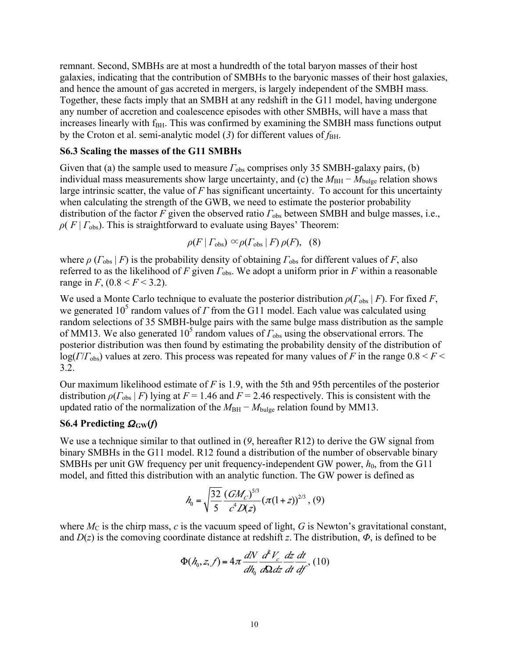remnant. Second, SMBHs are at most a hundredth of the total baryon masses of their host galaxies, indicating that the contribution of SMBHs to the baryonic masses of their host galaxies, and hence the amount of gas accreted in mergers, is largely independent of the SMBH mass. Together, these facts imply that an SMBH at any redshift in the G11 model, having undergone any number of accretion and coalescence episodes with other SMBHs, will have a mass that increases linearly with f<sub>BH</sub>. This was confirmed by examining the SMBH mass functions output by the Croton et al. semi-analytic model (3) for different values of  $f_{\rm BH}$ .

#### **S6.3 Scaling the masses of the G11 SMBHs**

Given that (a) the sample used to measure  $\Gamma_{obs}$  comprises only 35 SMBH-galaxy pairs, (b) individual mass measurements show large uncertainty, and (c) the  $M_{BH} - M_{bulge}$  relation shows large intrinsic scatter, the value of *F* has significant uncertainty. To account for this uncertainty when calculating the strength of the GWB, we need to estimate the posterior probability distribution of the factor *F* given the observed ratio *Γ*obs between SMBH and bulge masses, i.e.,  $\rho(F | F_{obs})$ . This is straightforward to evaluate using Bayes' Theorem:

$$
\rho(F \mid \Gamma_{\text{obs}}) \propto \rho(\Gamma_{\text{obs}} \mid F) \, \rho(F), \quad (8)
$$

where  $\rho$  ( $\Gamma_{\text{obs}}$  | *F*) is the probability density of obtaining  $\Gamma_{\text{obs}}$  for different values of *F*, also referred to as the likelihood of *F* given *Γ*obs. We adopt a uniform prior in *F* within a reasonable range in *F*,  $(0.8 < F < 3.2)$ .

We used a Monte Carlo technique to evaluate the posterior distribution  $\rho(\Gamma_{obs} | F)$ . For fixed *F*, we generated  $10^5$  random values of *Γ* from the G11 model. Each value was calculated using random selections of 35 SMBH-bulge pairs with the same bulge mass distribution as the sample of MM13. We also generated 10<sup>5</sup> random values of  $\Gamma_{\text{obs}}$  using the observational errors. The posterior distribution was then found by estimating the probability density of the distribution of log(*Γ*/*Γ*obs) values at zero. This process was repeated for many values of *F* in the range 0.8 < *F* < 3.2.

Our maximum likelihood estimate of *F* is 1.9, with the 5th and 95th percentiles of the posterior distribution  $\rho(\Gamma_{\text{obs}} | F)$  lying at  $F = 1.46$  and  $F = 2.46$  respectively. This is consistent with the updated ratio of the normalization of the  $M_{BH} - M_{bulge}$  relation found by MM13.

### **S6.4 Predicting**  $\Omega_{\rm GW}(f)$

We use a technique similar to that outlined in (*9*, hereafter R12) to derive the GW signal from binary SMBHs in the G11 model. R12 found a distribution of the number of observable binary SMBHs per unit GW frequency per unit frequency-independent GW power,  $h_0$ , from the G11 model, and fitted this distribution with an analytic function. The GW power is defined as

$$
h_0 = \sqrt{\frac{32}{5}} \frac{(GM_C)^{5/3}}{c^4 D(z)} (\pi (1+z))^{2/3}, (9)
$$

where  $M_C$  is the chirp mass,  $c$  is the vacuum speed of light,  $G$  is Newton's gravitational constant, and  $D(z)$  is the comoving coordinate distance at redshift *z*. The distribution,  $\Phi$ , is defined to be

$$
\Phi(h_0, z, f) = 4\pi \frac{dN}{dh_0} \frac{d^2V_c}{d\Omega dz} \frac{dz}{dt} \frac{dt}{df}, (10)
$$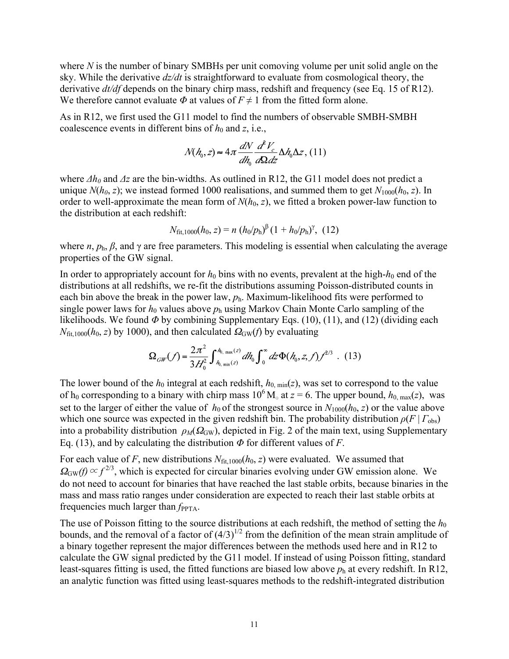where *N* is the number of binary SMBHs per unit comoving volume per unit solid angle on the sky. While the derivative *dz/dt* is straightforward to evaluate from cosmological theory, the derivative *dt/df* depends on the binary chirp mass, redshift and frequency (see Eq. 15 of R12). We therefore cannot evaluate  $\Phi$  at values of  $F \neq 1$  from the fitted form alone.

As in R12, we first used the G11 model to find the numbers of observable SMBH-SMBH coalescence events in different bins of  $h_0$  and  $z$ , i.e.,

$$
N(h_0, z) \approx 4\pi \frac{dN}{dh_0} \frac{d^2V_c}{d\Omega dz} \Delta h_0 \Delta z, (11)
$$

where  $\Delta h_0$  and  $\Delta z$  are the bin-widths. As outlined in R12, the G11 model does not predict a unique  $N(h_0, z)$ ; we instead formed 1000 realisations, and summed them to get  $N_{1000}(h_0, z)$ . In order to well-approximate the mean form of  $N(h_0, z)$ , we fitted a broken power-law function to the distribution at each redshift:

$$
N_{\text{fit},1000}(h_0, z) = n (h_0/p_{\text{h}})^{\beta} (1 + h_0/p_{\text{h}})^{\gamma}, (12)
$$

where  $n, p_h, \beta$ , and  $\gamma$  are free parameters. This modeling is essential when calculating the average properties of the GW signal.

In order to appropriately account for  $h_0$  bins with no events, prevalent at the high- $h_0$  end of the distributions at all redshifts, we re-fit the distributions assuming Poisson-distributed counts in each bin above the break in the power law,  $p_h$ . Maximum-likelihood fits were performed to single power laws for  $h_0$  values above  $p_h$  using Markov Chain Monte Carlo sampling of the likelihoods. We found *Φ* by combining Supplementary Eqs. (10), (11), and (12) (dividing each  $N_{\text{fit,1000}}(h_0, z)$  by 1000), and then calculated  $\Omega_{\text{GW}}(f)$  by evaluating

$$
\Omega_{GW}(f) = \frac{2\pi^2}{3H_0^2} \int_{h_0, \min(z)}^{h_0, \max(z)} dh_0 \int_0^\infty dz \Phi(h_0, z, f) f^{2/3} \quad . \tag{13}
$$

The lower bound of the  $h_0$  integral at each redshift,  $h_{0, min}(z)$ , was set to correspond to the value of h<sub>0</sub> corresponding to a binary with chirp mass  $10^6$  M<sub>☉</sub> at  $z = 6$ . The upper bound,  $h_{0, max}(z)$ , was set to the larger of either the value of  $h_0$  of the strongest source in  $N_{1000}(h_0, z)$  or the value above which one source was expected in the given redshift bin. The probability distribution  $\rho(F | T_{obs})$ into a probability distribution  $\rho_M(\Omega_{GW})$ , depicted in Fig. 2 of the main text, using Supplementary Eq. (13), and by calculating the distribution *Φ* for different values of *F*.

For each value of *F*, new distributions  $N_{\text{fit},1000}(h_0, z)$  were evaluated. We assumed that  $\Omega_{\rm GW}(f) \propto f^{2/3}$ , which is expected for circular binaries evolving under GW emission alone. We do not need to account for binaries that have reached the last stable orbits, because binaries in the mass and mass ratio ranges under consideration are expected to reach their last stable orbits at frequencies much larger than  $f_{\text{PPTA}}$ .

The use of Poisson fitting to the source distributions at each redshift, the method of setting the  $h_0$ bounds, and the removal of a factor of  $(4/3)^{1/2}$  from the definition of the mean strain amplitude of a binary together represent the major differences between the methods used here and in R12 to calculate the GW signal predicted by the G11 model. If instead of using Poisson fitting, standard least-squares fitting is used, the fitted functions are biased low above  $p_h$  at every redshift. In R12, an analytic function was fitted using least-squares methods to the redshift-integrated distribution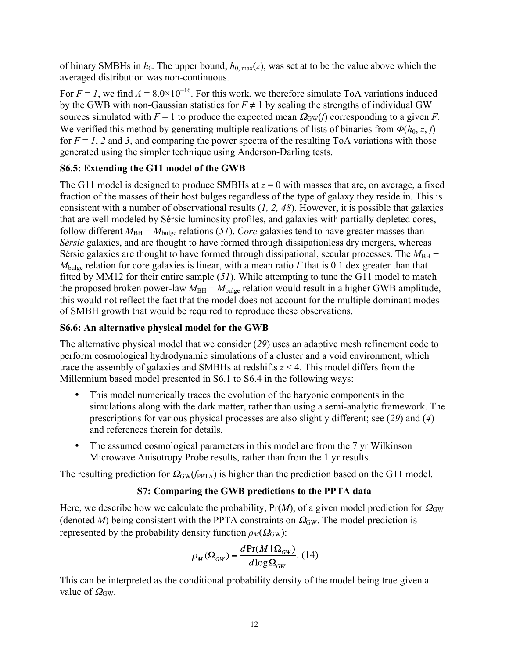of binary SMBHs in  $h_0$ . The upper bound,  $h_{0, max}(z)$ , was set at to be the value above which the averaged distribution was non-continuous.

For  $F = 1$ , we find  $A = 8.0 \times 10^{-16}$ . For this work, we therefore simulate ToA variations induced by the GWB with non-Gaussian statistics for  $F \neq 1$  by scaling the strengths of individual GW sources simulated with  $F = 1$  to produce the expected mean  $\Omega_{GW}(f)$  corresponding to a given *F*. We verified this method by generating multiple realizations of lists of binaries from  $\Phi(h_0, z, f)$ for  $F = 1$ , 2 and 3, and comparing the power spectra of the resulting ToA variations with those generated using the simpler technique using Anderson-Darling tests.

## **S6.5: Extending the G11 model of the GWB**

The G11 model is designed to produce SMBHs at  $z = 0$  with masses that are, on average, a fixed fraction of the masses of their host bulges regardless of the type of galaxy they reside in. This is consistent with a number of observational results (*1, 2, 48*). However, it is possible that galaxies that are well modeled by Sérsic luminosity profiles, and galaxies with partially depleted cores, follow different  $M_{\text{BH}} - M_{\text{bulge}}$  relations (51). *Core* galaxies tend to have greater masses than *Sérsic* galaxies, and are thought to have formed through dissipationless dry mergers, whereas Sérsic galaxies are thought to have formed through dissipational, secular processes. The *M*<sub>BH</sub> − *M*bulge relation for core galaxies is linear, with a mean ratio *Γ* that is 0.1 dex greater than that fitted by MM12 for their entire sample (*51*). While attempting to tune the G11 model to match the proposed broken power-law  $M_{BH} - M_{bulge}$  relation would result in a higher GWB amplitude, this would not reflect the fact that the model does not account for the multiple dominant modes of SMBH growth that would be required to reproduce these observations.

## **S6.6: An alternative physical model for the GWB**

The alternative physical model that we consider (*29*) uses an adaptive mesh refinement code to perform cosmological hydrodynamic simulations of a cluster and a void environment, which trace the assembly of galaxies and SMBHs at redshifts *z* < 4. This model differs from the Millennium based model presented in S6.1 to S6.4 in the following ways:

- This model numerically traces the evolution of the baryonic components in the simulations along with the dark matter, rather than using a semi-analytic framework. The prescriptions for various physical processes are also slightly different; see (*29*) and (*4*) and references therein for details*.*
- The assumed cosmological parameters in this model are from the 7 yr Wilkinson Microwave Anisotropy Probe results, rather than from the 1 yr results.

The resulting prediction for  $\Omega_{GW}(f_{PPTA})$  is higher than the prediction based on the G11 model.

## **S7: Comparing the GWB predictions to the PPTA data**

Here, we describe how we calculate the probability,  $Pr(M)$ , of a given model prediction for  $\Omega_{GW}$ (denoted *M*) being consistent with the PPTA constraints on  $\Omega_{GW}$ . The model prediction is represented by the probability density function  $\rho_M(\Omega_{GW})$ :

$$
\rho_M(\Omega_{GW}) = \frac{d \Pr(M \mid \Omega_{GW})}{d \log \Omega_{GW}}.\ (14)
$$

This can be interpreted as the conditional probability density of the model being true given a value of  $\Omega_{\rm GW}$ .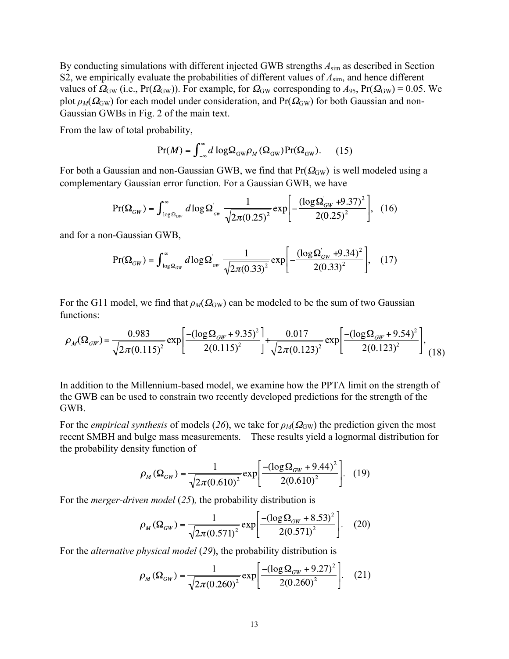By conducting simulations with different injected GWB strengths *A*sim as described in Section S2, we empirically evaluate the probabilities of different values of *A*sim, and hence different values of  $\Omega_{\rm GW}$  (i.e., Pr( $\Omega_{\rm GW}$ )). For example, for  $\Omega_{\rm GW}$  corresponding to  $A_{95}$ , Pr( $\Omega_{\rm GW}$ ) = 0.05. We plot  $\rho_M(\Omega_{\rm GW})$  for each model under consideration, and Pr( $\Omega_{\rm GW}$ ) for both Gaussian and non-Gaussian GWBs in Fig. 2 of the main text.

From the law of total probability,

$$
Pr(M) = \int_{-\infty}^{\infty} d \log \Omega_{GW} \rho_M(\Omega_{GW}) Pr(\Omega_{GW}).
$$
 (15)

For both a Gaussian and non-Gaussian GWB, we find that  $Pr(\Omega_{GW})$  is well modeled using a complementary Gaussian error function. For a Gaussian GWB, we have

$$
Pr(\Omega_{GW}) = \int_{\log \Omega_{GW}}^{\infty} d\log \Omega_{GW} \frac{1}{\sqrt{2\pi (0.25)^2}} exp\left[-\frac{(\log \Omega_{GW} + 9.37)^2}{2(0.25)^2}\right], \quad (16)
$$

and for a non-Gaussian GWB,

$$
Pr(\Omega_{GW}) = \int_{\log \Omega_{GW}}^{\infty} d\log \Omega_{ow} \frac{1}{\sqrt{2\pi (0.33)^2}} exp\left[-\frac{(\log \Omega_{GW} + 9.34)^2}{2(0.33)^2}\right], \quad (17)
$$

For the G11 model, we find that  $\rho_M(\Omega_{GW})$  can be modeled to be the sum of two Gaussian functions:

$$
\rho_M(\Omega_{GW}) = \frac{0.983}{\sqrt{2\pi (0.115)^2}} \exp\left[\frac{-(\log\Omega_{GW} + 9.35)^2}{2(0.115)^2}\right] + \frac{0.017}{\sqrt{2\pi (0.123)^2}} \exp\left[\frac{-(\log\Omega_{GW} + 9.54)^2}{2(0.123)^2}\right],
$$
(18)

In addition to the Millennium-based model, we examine how the PPTA limit on the strength of the GWB can be used to constrain two recently developed predictions for the strength of the GWB.

For the *empirical synthesis* of models (26), we take for  $\rho_M(\Omega_{GW})$  the prediction given the most recent SMBH and bulge mass measurements. These results yield a lognormal distribution for the probability density function of

$$
\rho_M(\Omega_{GW}) = \frac{1}{\sqrt{2\pi (0.610)^2}} \exp\left[\frac{-(\log \Omega_{GW} + 9.44)^2}{2(0.610)^2}\right].
$$
 (19)

For the *merger-driven model* (*25*)*,* the probability distribution is

$$
\rho_M(\Omega_{GW}) = \frac{1}{\sqrt{2\pi (0.571)^2}} \exp\left[\frac{-(\log \Omega_{GW} + 8.53)^2}{2(0.571)^2}\right].
$$
 (20)

For the *alternative physical model* (*29*), the probability distribution is

$$
\rho_M(\Omega_{GW}) = \frac{1}{\sqrt{2\pi (0.260)^2}} \exp\left[\frac{-(\log \Omega_{GW} + 9.27)^2}{2(0.260)^2}\right].
$$
 (21)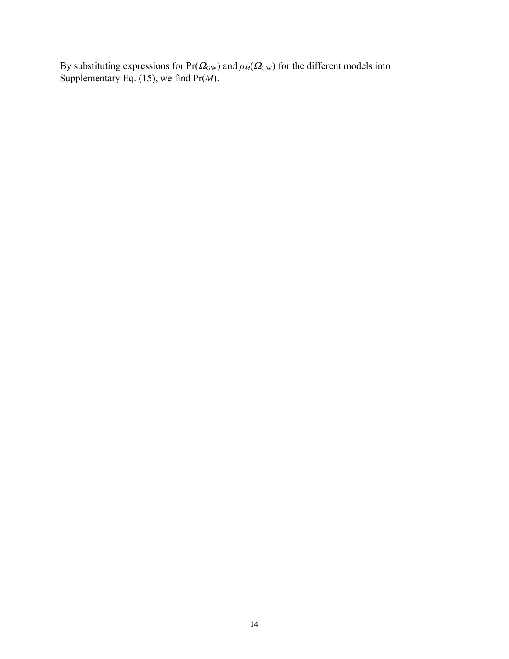By substituting expressions for  $Pr(\Omega_{GW})$  and  $\rho_M(\Omega_{GW})$  for the different models into Supplementary Eq. (15), we find Pr(*M*).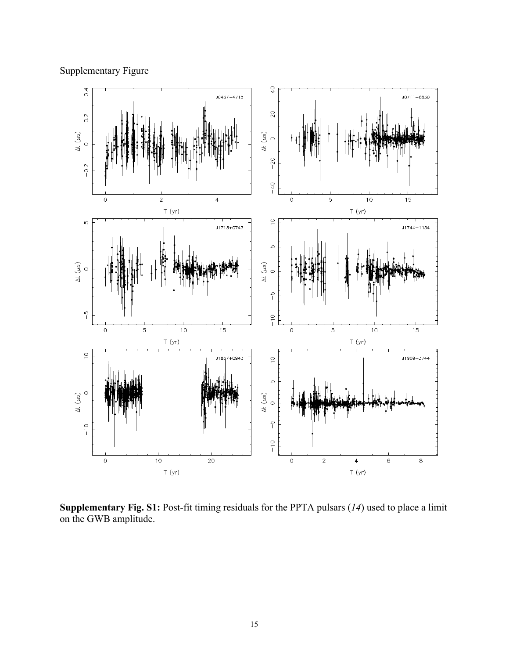



**Supplementary Fig. S1:** Post-fit timing residuals for the PPTA pulsars (*14*) used to place a limit on the GWB amplitude.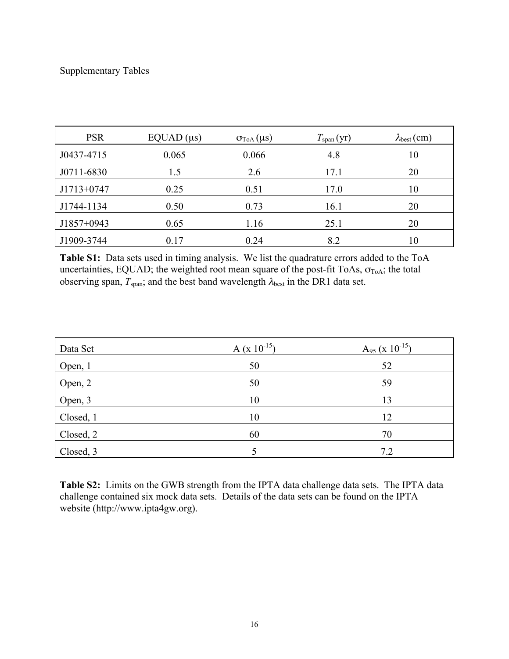## Supplementary Tables

| <b>PSR</b>   | EQUAD (µs) | $\sigma_{\text{ToA}}(\mu s)$ | T <sub>span</sub> (yr) | $\lambda_{best}(cm)$ |
|--------------|------------|------------------------------|------------------------|----------------------|
| J0437-4715   | 0.065      | 0.066                        | 4.8                    | 10                   |
| J0711-6830   | 1.5        | 2.6                          | 17.1                   | 20                   |
| $J1713+0747$ | 0.25       | 0.51                         | 17.0                   | 10                   |
| J1744-1134   | 0.50       | 0.73                         | 16.1                   | 20                   |
| $J1857+0943$ | 0.65       | 1.16                         | 25.1                   | 20                   |
| J1909-3744   | 0.17       | 0.24                         | 8.2                    | 10                   |

**Table S1:** Data sets used in timing analysis. We list the quadrature errors added to the ToA uncertainties, EQUAD; the weighted root mean square of the post-fit ToAs,  $\sigma_{ToA}$ ; the total observing span,  $T_{\text{span}}$ ; and the best band wavelength  $\lambda_{\text{best}}$  in the DR1 data set.

| Data Set  | $A (x 10^{-15})$ | $A_{95}$ (x 10 <sup>-15</sup> ) |
|-----------|------------------|---------------------------------|
| Open, 1   | 50               | 52                              |
| Open, 2   | 50               | 59                              |
| Open, 3   | 10               | 13                              |
| Closed, 1 | 10               | 12                              |
| Closed, 2 | 60               | 70                              |
| Closed, 3 |                  | 7.2                             |

**Table S2:** Limits on the GWB strength from the IPTA data challenge data sets. The IPTA data challenge contained six mock data sets. Details of the data sets can be found on the IPTA website (http://www.ipta4gw.org).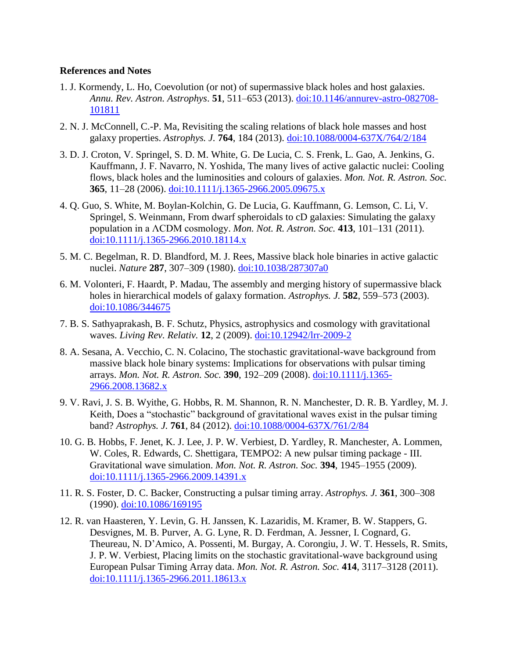#### **References and Notes**

- 1. J. Kormendy, L. Ho, Coevolution (or not) of supermassive black holes and host galaxies. *Annu. Rev. Astron. Astrophys*. **51**, 511–653 (2013). doi:10.1146/annurev-astro-082708- 101811
- 2. N. J. McConnell, C.-P. Ma, Revisiting the scaling relations of black hole masses and host galaxy properties. *Astrophys. J.* **764**, 184 (2013). [doi:10.1088/0004-637X/764/2/184](http://dx.doi.org/10.1088/0004-637X/764/2/184)
- 3. D. J. Croton, V. Springel, S. D. M. White, G. De Lucia, C. S. Frenk, L. Gao, A. Jenkins, G. Kauffmann, J. F. Navarro, N. Yoshida, The many lives of active galactic nuclei: Cooling flows, black holes and the luminosities and colours of galaxies. *Mon. Not. R. Astron. Soc.* **365**, 11–28 (2006). [doi:10.1111/j.1365-2966.2005.09675.x](http://dx.doi.org/10.1111/j.1365-2966.2005.09675.x)
- 4. Q. Guo, S. White, M. Boylan-Kolchin, G. De Lucia, G. Kauffmann, G. Lemson, C. Li, V. Springel, S. Weinmann, From dwarf spheroidals to cD galaxies: Simulating the galaxy population in a ΛCDM cosmology. *Mon. Not. R. Astron. Soc.* **413**, 101–131 (2011). [doi:10.1111/j.1365-2966.2010.18114.x](http://dx.doi.org/10.1111/j.1365-2966.2010.18114.x)
- 5. M. C. Begelman, R. D. Blandford, M. J. Rees, Massive black hole binaries in active galactic nuclei. *Nature* **287**, 307–309 (1980). [doi:10.1038/287307a0](http://dx.doi.org/10.1038/287307a0)
- 6. M. Volonteri, F. Haardt, P. Madau, The assembly and merging history of supermassive black holes in hierarchical models of galaxy formation. *Astrophys. J.* **582**, 559–573 (2003). [doi:10.1086/344675](http://dx.doi.org/10.1086/344675)
- 7. B. S. Sathyaprakash, B. F. Schutz, Physics, astrophysics and cosmology with gravitational waves. *Living Rev. Relativ.* **12**, 2 (2009). [doi:10.12942/lrr-2009-2](http://dx.doi.org/10.12942/lrr-2009-2)
- 8. A. Sesana, A. Vecchio, C. N. Colacino, The stochastic gravitational-wave background from massive black hole binary systems: Implications for observations with pulsar timing arrays. *Mon. Not. R. Astron. Soc.* **390**, 192–209 (2008). [doi:10.1111/j.1365-](http://dx.doi.org/10.1111/j.1365-2966.2008.13682.x) [2966.2008.13682.x](http://dx.doi.org/10.1111/j.1365-2966.2008.13682.x)
- 9. V. Ravi, J. S. B. Wyithe, G. Hobbs, R. M. Shannon, R. N. Manchester, D. R. B. Yardley, M. J. Keith, Does a "stochastic" background of gravitational waves exist in the pulsar timing band? *Astrophys. J.* **761**, 84 (2012). [doi:10.1088/0004-637X/761/2/84](http://dx.doi.org/10.1088/0004-637X/761/2/84)
- 10. G. B. Hobbs, F. Jenet, K. J. Lee, J. P. W. Verbiest, D. Yardley, R. Manchester, A. Lommen, W. Coles, R. Edwards, C. Shettigara, TEMPO2: A new pulsar timing package - III. Gravitational wave simulation. *Mon. Not. R. Astron. Soc.* **394**, 1945–1955 (2009). [doi:10.1111/j.1365-2966.2009.14391.x](http://dx.doi.org/10.1111/j.1365-2966.2009.14391.x)
- 11. R. S. Foster, D. C. Backer, Constructing a pulsar timing array. *Astrophys. J.* **361**, 300–308 (1990). [doi:10.1086/169195](http://dx.doi.org/10.1086/169195)
- 12. R. van Haasteren, Y. Levin, G. H. Janssen, K. Lazaridis, M. Kramer, B. W. Stappers, G. Desvignes, M. B. Purver, A. G. Lyne, R. D. Ferdman, A. Jessner, I. Cognard, G. Theureau, N. D'Amico, A. Possenti, M. Burgay, A. Corongiu, J. W. T. Hessels, R. Smits, J. P. W. Verbiest, Placing limits on the stochastic gravitational-wave background using European Pulsar Timing Array data. *Mon. Not. R. Astron. Soc.* **414**, 3117–3128 (2011). [doi:10.1111/j.1365-2966.2011.18613.x](http://dx.doi.org/10.1111/j.1365-2966.2011.18613.x)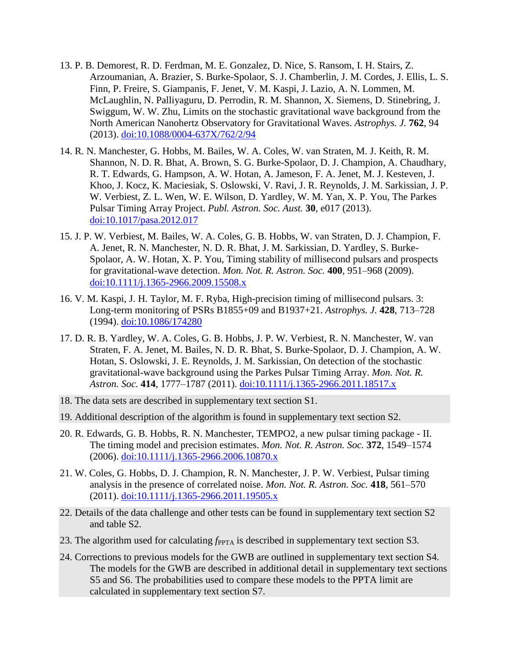- 13. P. B. Demorest, R. D. Ferdman, M. E. Gonzalez, D. Nice, S. Ransom, I. H. Stairs, Z. Arzoumanian, A. Brazier, S. Burke-Spolaor, S. J. Chamberlin, J. M. Cordes, J. Ellis, L. S. Finn, P. Freire, S. Giampanis, F. Jenet, V. M. Kaspi, J. Lazio, A. N. Lommen, M. McLaughlin, N. Palliyaguru, D. Perrodin, R. M. Shannon, X. Siemens, D. Stinebring, J. Swiggum, W. W. Zhu, Limits on the stochastic gravitational wave background from the North American Nanohertz Observatory for Gravitational Waves. *Astrophys. J.* **762**, 94 (2013). [doi:10.1088/0004-637X/762/2/94](http://dx.doi.org/10.1088/0004-637X/762/2/94)
- 14. R. N. Manchester, G. Hobbs, M. Bailes, W. A. Coles, W. van Straten, M. J. Keith, R. M. Shannon, N. D. R. Bhat, A. Brown, S. G. Burke-Spolaor, D. J. Champion, A. Chaudhary, R. T. Edwards, G. Hampson, A. W. Hotan, A. Jameson, F. A. Jenet, M. J. Kesteven, J. Khoo, J. Kocz, K. Maciesiak, S. Oslowski, V. Ravi, J. R. Reynolds, J. M. Sarkissian, J. P. W. Verbiest, Z. L. Wen, W. E. Wilson, D. Yardley, W. M. Yan, X. P. You, The Parkes Pulsar Timing Array Project. *Publ. Astron. Soc. Aust.* **30**, e017 (2013). [doi:10.1017/pasa.2012.017](http://dx.doi.org/10.1017/pasa.2012.017)
- 15. J. P. W. Verbiest, M. Bailes, W. A. Coles, G. B. Hobbs, W. van Straten, D. J. Champion, F. A. Jenet, R. N. Manchester, N. D. R. Bhat, J. M. Sarkissian, D. Yardley, S. Burke-Spolaor, A. W. Hotan, X. P. You, Timing stability of millisecond pulsars and prospects for gravitational-wave detection. *Mon. Not. R. Astron. Soc.* **400**, 951–968 (2009). [doi:10.1111/j.1365-2966.2009.15508.x](http://dx.doi.org/10.1111/j.1365-2966.2009.15508.x)
- 16. V. M. Kaspi, J. H. Taylor, M. F. Ryba, High-precision timing of millisecond pulsars. 3: Long-term monitoring of PSRs B1855+09 and B1937+21. *Astrophys. J.* **428**, 713–728 (1994). [doi:10.1086/174280](http://dx.doi.org/10.1086/174280)
- 17. D. R. B. Yardley, W. A. Coles, G. B. Hobbs, J. P. W. Verbiest, R. N. Manchester, W. van Straten, F. A. Jenet, M. Bailes, N. D. R. Bhat, S. Burke-Spolaor, D. J. Champion, A. W. Hotan, S. Oslowski, J. E. Reynolds, J. M. Sarkissian, On detection of the stochastic gravitational-wave background using the Parkes Pulsar Timing Array. *Mon. Not. R. Astron. Soc.* **414**, 1777–1787 (2011). [doi:10.1111/j.1365-2966.2011.18517.x](http://dx.doi.org/10.1111/j.1365-2966.2011.18517.x)
- 18. The data sets are described in supplementary text section S1.
- 19. Additional description of the algorithm is found in supplementary text section S2.
- 20. R. Edwards, G. B. Hobbs, R. N. Manchester, TEMPO2, a new pulsar timing package II. The timing model and precision estimates. *Mon. Not. R. Astron. Soc.* **372**, 1549–1574 (2006). [doi:10.1111/j.1365-2966.2006.10870.x](http://dx.doi.org/10.1111/j.1365-2966.2006.10870.x)
- 21. W. Coles, G. Hobbs, D. J. Champion, R. N. Manchester, J. P. W. Verbiest, Pulsar timing analysis in the presence of correlated noise. *Mon. Not. R. Astron. Soc.* **418**, 561–570 (2011). [doi:10.1111/j.1365-2966.2011.19505.x](http://dx.doi.org/10.1111/j.1365-2966.2011.19505.x)
- 22. Details of the data challenge and other tests can be found in supplementary text section S2 and table S2.
- 23. The algorithm used for calculating  $f_{\text{PPTA}}$  is described in supplementary text section S3.
- 24. Corrections to previous models for the GWB are outlined in supplementary text section S4. The models for the GWB are described in additional detail in supplementary text sections S5 and S6. The probabilities used to compare these models to the PPTA limit are calculated in supplementary text section S7.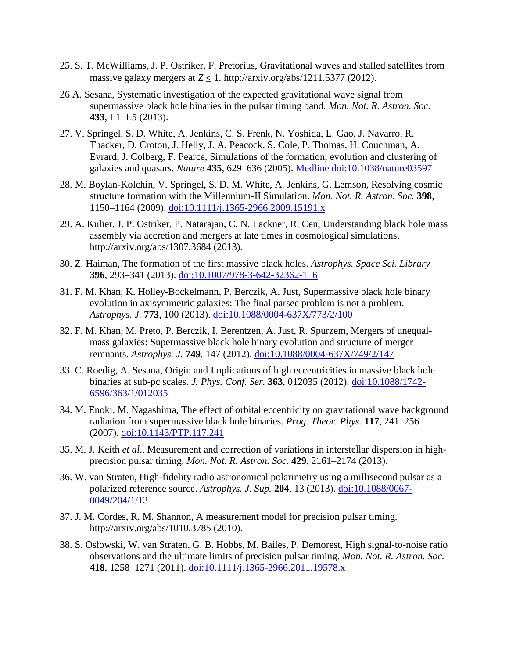- 25. S. T. McWilliams, J. P. Ostriker, F. Pretorius, Gravitational waves and stalled satellites from massive galaxy mergers at  $Z \le 1$ . http://arxiv.org/abs/1211.5377 (2012).
- 26 A. Sesana, Systematic investigation of the expected gravitational wave signal from supermassive black hole binaries in the pulsar timing band. *Mon. Not. R. Astron. Soc.* **433**, L1–L5 (2013).
- 27. V. Springel, S. D. White, A. Jenkins, C. S. Frenk, N. Yoshida, L. Gao, J. Navarro, R. Thacker, D. Croton, J. Helly, J. A. Peacock, S. Cole, P. Thomas, H. Couchman, A. Evrard, J. Colberg, F. Pearce, Simulations of the formation, evolution and clustering of galaxies and quasars. *Nature* **435**, 629–636 (2005). [Medline](http://www.ncbi.nlm.nih.gov/entrez/query.fcgi?cmd=Retrieve&db=PubMed&list_uids=15931216&dopt=Abstract) [doi:10.1038/nature03597](http://dx.doi.org/10.1038/nature03597)
- 28. M. Boylan-Kolchin, V. Springel, S. D. M. White, A. Jenkins, G. Lemson, Resolving cosmic structure formation with the Millennium-II Simulation. *Mon. Not. R. Astron. Soc.* **398**, 1150–1164 (2009). [doi:10.1111/j.1365-2966.2009.15191.x](http://dx.doi.org/10.1111/j.1365-2966.2009.15191.x)
- 29. A. Kulier, J. P. Ostriker, P. Natarajan, C. N. Lackner, R. Cen, Understanding black hole mass assembly via accretion and mergers at late times in cosmological simulations. http://arxiv.org/abs/1307.3684 (2013).
- 30. Z. Haiman, The formation of the first massive black holes. *Astrophys. Space Sci. Library* **396**, 293–341 (2013). [doi:10.1007/978-3-642-32362-1\\_6](http://dx.doi.org/10.1007/978-3-642-32362-1_6)
- 31. F. M. Khan, K. Holley-Bockelmann, P. Berczik, A. Just, Supermassive black hole binary evolution in axisymmetric galaxies: The final parsec problem is not a problem. *Astrophys. J.* **773**, 100 (2013). doi:10.1088/0004-637X/773/2/100
- 32. F. M. Khan, M. Preto, P. Berczik, I. Berentzen, A. Just, R. Spurzem, Mergers of unequalmass galaxies: Supermassive black hole binary evolution and structure of merger remnants. *Astrophys. J.* **749**, 147 (2012). [doi:10.1088/0004-637X/749/2/147](http://dx.doi.org/10.1088/0004-637X/749/2/147)
- 33. C. Roedig, A. Sesana, Origin and Implications of high eccentricities in massive black hole binaries at sub-pc scales. *J. Phys. Conf. Ser.* **363**, 012035 (2012). [doi:10.1088/1742-](http://dx.doi.org/10.1088/1742-6596/363/1/012035) [6596/363/1/012035](http://dx.doi.org/10.1088/1742-6596/363/1/012035)
- 34. M. Enoki, M. Nagashima, The effect of orbital eccentricity on gravitational wave background radiation from supermassive black hole binaries. *Prog. Theor. Phys.* **117**, 241–256 (2007). [doi:10.1143/PTP.117.241](http://dx.doi.org/10.1143/PTP.117.241)
- 35. M. J. Keith *et al*., Measurement and correction of variations in interstellar dispersion in highprecision pulsar timing. *Mon. Not. R. Astron. Soc.* **429**, 2161–2174 (2013).
- 36. W. van Straten, High-fidelity radio astronomical polarimetry using a millisecond pulsar as a polarized reference source. *Astrophys. J. Sup.* **204**, 13 (2013). [doi:10.1088/0067-](http://dx.doi.org/10.1088/0067-0049/204/1/13) [0049/204/1/13](http://dx.doi.org/10.1088/0067-0049/204/1/13)
- 37. J. M. Cordes, R. M. Shannon, A measurement model for precision pulsar timing. http://arxiv.org/abs/1010.3785 (2010).
- 38. S. Osłowski, W. van Straten, G. B. Hobbs, M. Bailes, P. Demorest, High signal-to-noise ratio observations and the ultimate limits of precision pulsar timing. *Mon. Not. R. Astron. Soc.* **418**, 1258–1271 (2011). [doi:10.1111/j.1365-2966.2011.19578.x](http://dx.doi.org/10.1111/j.1365-2966.2011.19578.x)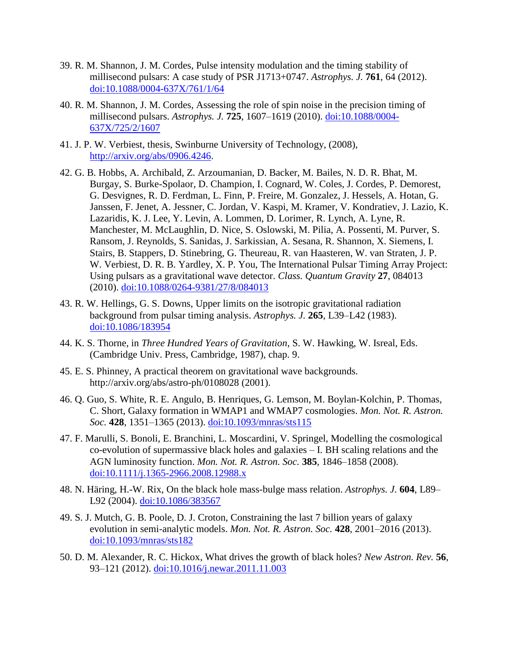- 39. R. M. Shannon, J. M. Cordes, Pulse intensity modulation and the timing stability of millisecond pulsars: A case study of PSR J1713+0747. *Astrophys. J.* **761**, 64 (2012). [doi:10.1088/0004-637X/761/1/64](http://dx.doi.org/10.1088/0004-637X/761/1/64)
- 40. R. M. Shannon, J. M. Cordes, Assessing the role of spin noise in the precision timing of millisecond pulsars. *Astrophys. J.* **725**, 1607–1619 (2010). [doi:10.1088/0004-](http://dx.doi.org/10.1088/0004-637X/725/2/1607) [637X/725/2/1607](http://dx.doi.org/10.1088/0004-637X/725/2/1607)
- 41. J. P. W. Verbiest, thesis, Swinburne University of Technology, (2008), [http://arxiv.org/abs/0906.4246.](http://arxiv.org/abs/0906.4246)
- 42. G. B. Hobbs, A. Archibald, Z. Arzoumanian, D. Backer, M. Bailes, N. D. R. Bhat, M. Burgay, S. Burke-Spolaor, D. Champion, I. Cognard, W. Coles, J. Cordes, P. Demorest, G. Desvignes, R. D. Ferdman, L. Finn, P. Freire, M. Gonzalez, J. Hessels, A. Hotan, G. Janssen, F. Jenet, A. Jessner, C. Jordan, V. Kaspi, M. Kramer, V. Kondratiev, J. Lazio, K. Lazaridis, K. J. Lee, Y. Levin, A. Lommen, D. Lorimer, R. Lynch, A. Lyne, R. Manchester, M. McLaughlin, D. Nice, S. Oslowski, M. Pilia, A. Possenti, M. Purver, S. Ransom, J. Reynolds, S. Sanidas, J. Sarkissian, A. Sesana, R. Shannon, X. Siemens, I. Stairs, B. Stappers, D. Stinebring, G. Theureau, R. van Haasteren, W. van Straten, J. P. W. Verbiest, D. R. B. Yardley, X. P. You, The International Pulsar Timing Array Project: Using pulsars as a gravitational wave detector. *Class. Quantum Gravity* **27**, 084013 (2010). [doi:10.1088/0264-9381/27/8/084013](http://dx.doi.org/10.1088/0264-9381/27/8/084013)
- 43. R. W. Hellings, G. S. Downs, Upper limits on the isotropic gravitational radiation background from pulsar timing analysis. *Astrophys. J.* **265**, L39–L42 (1983). [doi:10.1086/183954](http://dx.doi.org/10.1086/183954)
- 44. K. S. Thorne, in *Three Hundred Years of Gravitation*, S. W. Hawking, W. Isreal, Eds. (Cambridge Univ. Press, Cambridge, 1987), chap. 9.
- 45. E. S. Phinney, A practical theorem on gravitational wave backgrounds. http://arxiv.org/abs/astro-ph/0108028 (2001).
- 46. Q. Guo, S. White, R. E. Angulo, B. Henriques, G. Lemson, M. Boylan-Kolchin, P. Thomas, C. Short, Galaxy formation in WMAP1 and WMAP7 cosmologies. *Mon. Not. R. Astron. Soc.* **428**, 1351–1365 (2013). [doi:10.1093/mnras/sts115](http://dx.doi.org/10.1093/mnras/sts115)
- 47. F. Marulli, S. Bonoli, E. Branchini, L. Moscardini, V. Springel, Modelling the cosmological co-evolution of supermassive black holes and galaxies – I. BH scaling relations and the AGN luminosity function. *Mon. Not. R. Astron. Soc.* **385**, 1846–1858 (2008). [doi:10.1111/j.1365-2966.2008.12988.x](http://dx.doi.org/10.1111/j.1365-2966.2008.12988.x)
- 48. N. Häring, H.-W. Rix, On the black hole mass-bulge mass relation. *Astrophys. J.* **604**, L89– L92 (2004). [doi:10.1086/383567](http://dx.doi.org/10.1086/383567)
- 49. S. J. Mutch, G. B. Poole, D. J. Croton, Constraining the last 7 billion years of galaxy evolution in semi-analytic models. *Mon. Not. R. Astron. Soc.* **428**, 2001–2016 (2013). [doi:10.1093/mnras/sts182](http://dx.doi.org/10.1093/mnras/sts182)
- 50. D. M. Alexander, R. C. Hickox, What drives the growth of black holes? *New Astron. Rev.* **56**, 93–121 (2012). [doi:10.1016/j.newar.2011.11.003](http://dx.doi.org/10.1016/j.newar.2011.11.003)